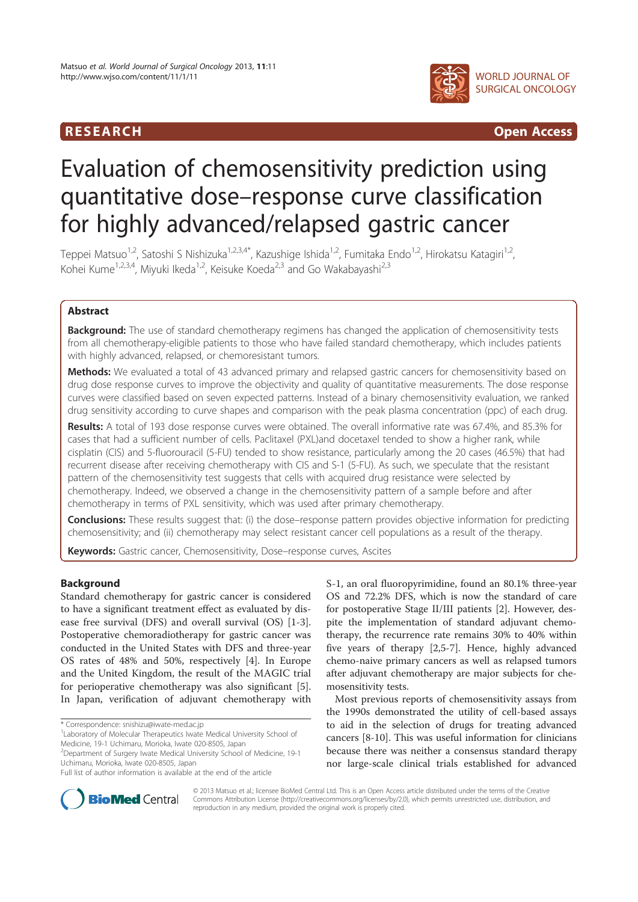## R E S EAR CH Open Access



# Evaluation of chemosensitivity prediction using quantitative dose–response curve classification for highly advanced/relapsed gastric cancer

Teppei Matsuo<sup>1,2</sup>, Satoshi S Nishizuka<sup>1,2,3,4\*</sup>, Kazushige Ishida<sup>1,2</sup>, Fumitaka Endo<sup>1,2</sup>, Hirokatsu Katagiri<sup>1,2</sup>, Kohei Kume<sup>1,2,3,4</sup>, Miyuki Ikeda<sup>1,2</sup>, Keisuke Koeda<sup>2,3</sup> and Go Wakabayashi<sup>2,3</sup>

## Abstract

Background: The use of standard chemotherapy regimens has changed the application of chemosensitivity tests from all chemotherapy-eligible patients to those who have failed standard chemotherapy, which includes patients with highly advanced, relapsed, or chemoresistant tumors.

Methods: We evaluated a total of 43 advanced primary and relapsed gastric cancers for chemosensitivity based on drug dose response curves to improve the objectivity and quality of quantitative measurements. The dose response curves were classified based on seven expected patterns. Instead of a binary chemosensitivity evaluation, we ranked drug sensitivity according to curve shapes and comparison with the peak plasma concentration (ppc) of each drug.

Results: A total of 193 dose response curves were obtained. The overall informative rate was 67.4%, and 85.3% for cases that had a sufficient number of cells. Paclitaxel (PXL)and docetaxel tended to show a higher rank, while cisplatin (CIS) and 5-fluorouracil (5-FU) tended to show resistance, particularly among the 20 cases (46.5%) that had recurrent disease after receiving chemotherapy with CIS and S-1 (5-FU). As such, we speculate that the resistant pattern of the chemosensitivity test suggests that cells with acquired drug resistance were selected by chemotherapy. Indeed, we observed a change in the chemosensitivity pattern of a sample before and after chemotherapy in terms of PXL sensitivity, which was used after primary chemotherapy.

Conclusions: These results suggest that: (i) the dose-response pattern provides objective information for predicting chemosensitivity; and (ii) chemotherapy may select resistant cancer cell populations as a result of the therapy.

Keywords: Gastric cancer, Chemosensitivity, Dose-response curves, Ascites

## Background

Standard chemotherapy for gastric cancer is considered to have a significant treatment effect as evaluated by disease free survival (DFS) and overall survival (OS) [1-3]. Postoperative chemoradiotherapy for gastric cancer was conducted in the United States with DFS and three-year OS rates of 48% and 50%, respectively [4]. In Europe and the United Kingdom, the result of the MAGIC trial for perioperative chemotherapy was also significant [5]. In Japan, verification of adjuvant chemotherapy with

\* Correspondence: snishizu@iwate-med.ac.jp

<sup>1</sup> Laboratory of Molecular Therapeutics Iwate Medical University School of Medicine, 19-1 Uchimaru, Morioka, Iwate 020-8505, Japan

<sup>2</sup> Department of Surgery Iwate Medical University School of Medicine, 19-1 Uchimaru, Morioka, Iwate 020-8505, Japan

S-1, an oral fluoropyrimidine, found an 80.1% three-year OS and 72.2% DFS, which is now the standard of care for postoperative Stage II/III patients [2]. However, despite the implementation of standard adjuvant chemotherapy, the recurrence rate remains 30% to 40% within five years of therapy [2,5-7]. Hence, highly advanced chemo-naive primary cancers as well as relapsed tumors after adjuvant chemotherapy are major subjects for chemosensitivity tests.

Most previous reports of chemosensitivity assays from the 1990s demonstrated the utility of cell-based assays to aid in the selection of drugs for treating advanced cancers [8-10]. This was useful information for clinicians because there was neither a consensus standard therapy nor large-scale clinical trials established for advanced



© 2013 Matsuo et al.; licensee BioMed Central Ltd. This is an Open Access article distributed under the terms of the Creative Commons Attribution License (http://creativecommons.org/licenses/by/2.0), which permits unrestricted use, distribution, and reproduction in any medium, provided the original work is properly cited.

Full list of author information is available at the end of the article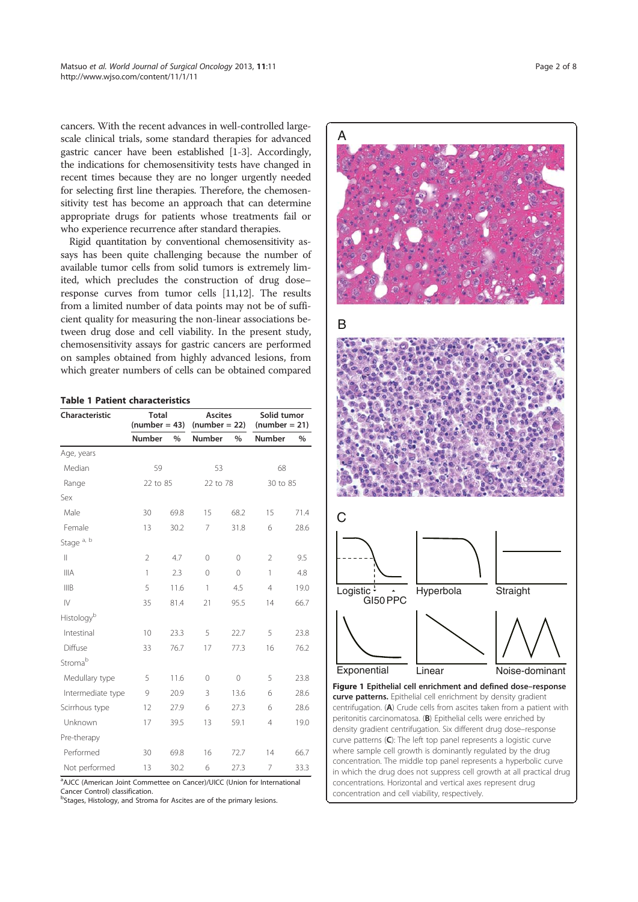cancers. With the recent advances in well-controlled largescale clinical trials, some standard therapies for advanced gastric cancer have been established [1-3]. Accordingly, the indications for chemosensitivity tests have changed in recent times because they are no longer urgently needed for selecting first line therapies. Therefore, the chemosensitivity test has become an approach that can determine appropriate drugs for patients whose treatments fail or who experience recurrence after standard therapies.

Rigid quantitation by conventional chemosensitivity assays has been quite challenging because the number of available tumor cells from solid tumors is extremely limited, which precludes the construction of drug dose– response curves from tumor cells [11,12]. The results from a limited number of data points may not be of sufficient quality for measuring the non-linear associations between drug dose and cell viability. In the present study, chemosensitivity assays for gastric cancers are performed on samples obtained from highly advanced lesions, from which greater numbers of cells can be obtained compared

|  |  |  | <b>Table 1 Patient characteristics</b> |
|--|--|--|----------------------------------------|
|--|--|--|----------------------------------------|

| Characteristic         | <b>Total</b><br>$(number = 43)$ |      | <b>Ascites</b><br>$(number = 22)$ |               | Solid tumor<br>$(number = 21)$ |      |
|------------------------|---------------------------------|------|-----------------------------------|---------------|--------------------------------|------|
|                        | <b>Number</b>                   | $\%$ | Number                            | $\frac{0}{0}$ | Number                         | $\%$ |
| Age, years             |                                 |      |                                   |               |                                |      |
| Median                 | 59                              |      | 53                                |               | 68                             |      |
| Range                  | 22 to 85                        |      | 22 to 78                          |               | 30 to 85                       |      |
| Sex                    |                                 |      |                                   |               |                                |      |
| Male                   | 30                              | 69.8 | 15                                | 68.2          | 15                             | 71.4 |
| Female                 | 13                              | 30.2 | 7                                 | 31.8          | 6                              | 28.6 |
| Stage <sup>a, b</sup>  |                                 |      |                                   |               |                                |      |
| $\mathbb{I}$           | $\overline{2}$                  | 4.7  | 0                                 | $\mathbf 0$   | $\overline{2}$                 | 9.5  |
| <b>IIIA</b>            | 1                               | 2.3  | $\overline{()}$                   | $\Omega$      | $\mathbf{1}$                   | 4.8  |
| IIIB                   | 5                               | 11.6 | 1                                 | 4.5           | $\overline{4}$                 | 19.0 |
| $\mathsf{I}\mathsf{V}$ | 35                              | 81.4 | 21                                | 95.5          | 14                             | 66.7 |
| Histology <sup>b</sup> |                                 |      |                                   |               |                                |      |
| Intestinal             | 10                              | 23.3 | 5                                 | 22.7          | 5                              | 23.8 |
| Diffuse                | 33                              | 76.7 | 17                                | 77.3          | 16                             | 76.2 |
| Stromab                |                                 |      |                                   |               |                                |      |
| Medullary type         | 5                               | 11.6 | 0                                 | $\Omega$      | 5                              | 23.8 |
| Intermediate type      | 9                               | 20.9 | 3                                 | 13.6          | 6                              | 28.6 |
| Scirrhous type         | 12                              | 27.9 | 6                                 | 27.3          | 6                              | 28.6 |
| Unknown                | 17                              | 39.5 | 13                                | 59.1          | $\overline{4}$                 | 19.0 |
| Pre-therapy            |                                 |      |                                   |               |                                |      |
| Performed              | 30                              | 69.8 | 16                                | 72.7          | 14                             | 66.7 |
| Not performed          | 13                              | 30.2 | 6                                 | 27.3          | 7                              | 33.3 |

<sup>a</sup>AJCC (American Joint Commettee on Cancer)/UICC (Union for International Cancer Control) classification.

<sup>b</sup>Stages, Histology, and Stroma for Ascites are of the primary lesions.

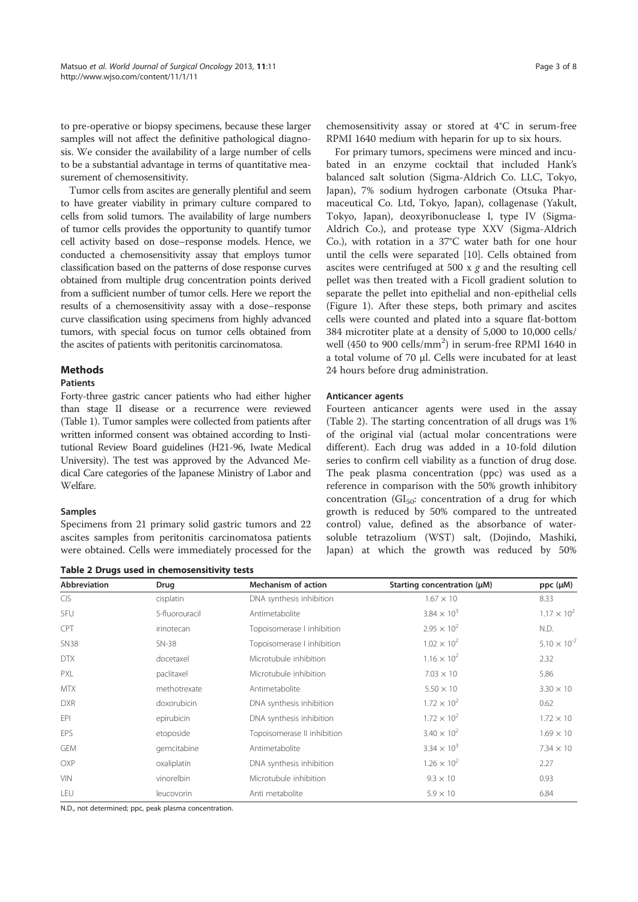to pre-operative or biopsy specimens, because these larger samples will not affect the definitive pathological diagnosis. We consider the availability of a large number of cells to be a substantial advantage in terms of quantitative measurement of chemosensitivity.

Tumor cells from ascites are generally plentiful and seem to have greater viability in primary culture compared to cells from solid tumors. The availability of large numbers of tumor cells provides the opportunity to quantify tumor cell activity based on dose–response models. Hence, we conducted a chemosensitivity assay that employs tumor classification based on the patterns of dose response curves obtained from multiple drug concentration points derived from a sufficient number of tumor cells. Here we report the results of a chemosensitivity assay with a dose–response curve classification using specimens from highly advanced tumors, with special focus on tumor cells obtained from the ascites of patients with peritonitis carcinomatosa.

## Methods

## Patients

Forty-three gastric cancer patients who had either higher than stage II disease or a recurrence were reviewed (Table 1). Tumor samples were collected from patients after written informed consent was obtained according to Institutional Review Board guidelines (H21-96, Iwate Medical University). The test was approved by the Advanced Medical Care categories of the Japanese Ministry of Labor and Welfare.

#### Samples

Specimens from 21 primary solid gastric tumors and 22 ascites samples from peritonitis carcinomatosa patients were obtained. Cells were immediately processed for the

Table 2 Drugs used in chemosensitivity tests

chemosensitivity assay or stored at 4°C in serum-free RPMI 1640 medium with heparin for up to six hours.

For primary tumors, specimens were minced and incubated in an enzyme cocktail that included Hank's balanced salt solution (Sigma-Aldrich Co. LLC, Tokyo, Japan), 7% sodium hydrogen carbonate (Otsuka Pharmaceutical Co. Ltd, Tokyo, Japan), collagenase (Yakult, Tokyo, Japan), deoxyribonuclease I, type IV (Sigma-Aldrich Co.), and protease type XXV (Sigma-Aldrich Co.), with rotation in a 37°C water bath for one hour until the cells were separated [10]. Cells obtained from ascites were centrifuged at 500  $x$  g and the resulting cell pellet was then treated with a Ficoll gradient solution to separate the pellet into epithelial and non-epithelial cells (Figure 1). After these steps, both primary and ascites cells were counted and plated into a square flat-bottom 384 microtiter plate at a density of 5,000 to 10,000 cells/ well (450 to 900 cells/mm<sup>2</sup>) in serum-free RPMI 1640 in a total volume of 70 μl. Cells were incubated for at least 24 hours before drug administration.

#### Anticancer agents

Fourteen anticancer agents were used in the assay (Table 2). The starting concentration of all drugs was 1% of the original vial (actual molar concentrations were different). Each drug was added in a 10-fold dilution series to confirm cell viability as a function of drug dose. The peak plasma concentration (ppc) was used as a reference in comparison with the 50% growth inhibitory concentration  $(GI_{50}:$  concentration of a drug for which growth is reduced by 50% compared to the untreated control) value, defined as the absorbance of watersoluble tetrazolium (WST) salt, (Dojindo, Mashiki, Japan) at which the growth was reduced by 50%

| <b>Abbreviation</b> | Drug           | <b>Mechanism of action</b>  | Starting concentration (µM) | $ppc (\mu M)$         |
|---------------------|----------------|-----------------------------|-----------------------------|-----------------------|
| <b>CIS</b>          | cisplatin      | DNA synthesis inhibition    | $1.67 \times 10$            | 8.33                  |
| 5FU                 | 5-fluorouracil | Antimetabolite              | $3.84 \times 10^{3}$        | $1.17 \times 10^{2}$  |
| CPT                 | irinotecan     | Topoisomerase I inhibition  | $2.95 \times 10^{2}$        | N.D.                  |
| <b>SN38</b>         | $SN-38$        | Topoisomerase I inhibition  | $1.02 \times 10^{2}$        | $5.10 \times 10^{-2}$ |
| <b>DTX</b>          | docetaxel      | Microtubule inhibition      | $1.16 \times 10^{2}$        | 2.32                  |
| <b>PXL</b>          | paclitaxel     | Microtubule inhibition      | $7.03 \times 10^{-7}$       | 5.86                  |
| <b>MTX</b>          | methotrexate   | Antimetabolite              | $5.50 \times 10$            | $3.30 \times 10^{-7}$ |
| <b>DXR</b>          | doxorubicin    | DNA synthesis inhibition    | $1.72 \times 10^{2}$        | 0.62                  |
| EPI                 | epirubicin     | DNA synthesis inhibition    | $1.72 \times 10^{2}$        | $1.72 \times 10^{-7}$ |
| EPS                 | etoposide      | Topoisomerase II inhibition | $3.40 \times 10^{2}$        | $1.69 \times 10^{-7}$ |
| <b>GEM</b>          | gemcitabine    | Antimetabolite              | $3.34 \times 10^{3}$        | $7.34 \times 10^{-7}$ |
| OXP                 | oxaliplatin    | DNA synthesis inhibition    | $1.26 \times 10^{2}$        | 2.27                  |
| <b>VIN</b>          | vinorelbin     | Microtubule inhibition      | $9.3 \times 10$             | 0.93                  |
| LEU                 | leucovorin     | Anti metabolite             | $5.9 \times 10$             | 6.84                  |

N.D., not determined; ppc, peak plasma concentration.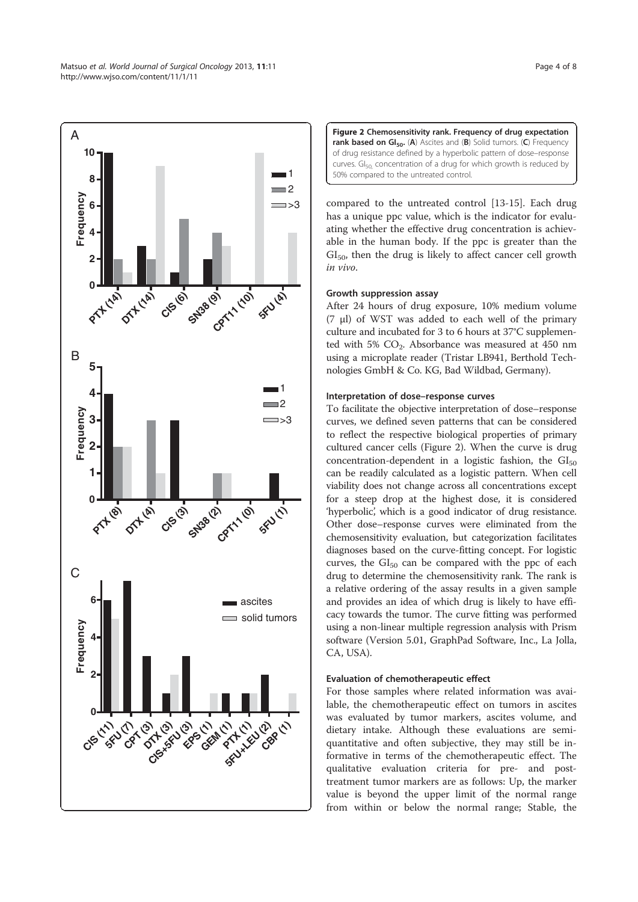



compared to the untreated control [13-15]. Each drug has a unique ppc value, which is the indicator for evaluating whether the effective drug concentration is achievable in the human body. If the ppc is greater than the  $GI<sub>50</sub>$ , then the drug is likely to affect cancer cell growth in vivo.

## Growth suppression assay

After 24 hours of drug exposure, 10% medium volume (7 μl) of WST was added to each well of the primary culture and incubated for 3 to 6 hours at 37°C supplemented with 5% CO<sub>2</sub>. Absorbance was measured at 450 nm using a microplate reader (Tristar LB941, Berthold Technologies GmbH & Co. KG, Bad Wildbad, Germany).

## Interpretation of dose–response curves

To facilitate the objective interpretation of dose–response curves, we defined seven patterns that can be considered to reflect the respective biological properties of primary cultured cancer cells (Figure 2). When the curve is drug concentration-dependent in a logistic fashion, the  $GI<sub>50</sub>$ can be readily calculated as a logistic pattern. When cell viability does not change across all concentrations except for a steep drop at the highest dose, it is considered 'hyperbolic', which is a good indicator of drug resistance. Other dose–response curves were eliminated from the chemosensitivity evaluation, but categorization facilitates diagnoses based on the curve-fitting concept. For logistic curves, the  $GI<sub>50</sub>$  can be compared with the ppc of each drug to determine the chemosensitivity rank. The rank is a relative ordering of the assay results in a given sample and provides an idea of which drug is likely to have efficacy towards the tumor. The curve fitting was performed using a non-linear multiple regression analysis with Prism software (Version 5.01, GraphPad Software, Inc., La Jolla, CA, USA).

## Evaluation of chemotherapeutic effect

For those samples where related information was available, the chemotherapeutic effect on tumors in ascites was evaluated by tumor markers, ascites volume, and dietary intake. Although these evaluations are semiquantitative and often subjective, they may still be informative in terms of the chemotherapeutic effect. The qualitative evaluation criteria for pre- and posttreatment tumor markers are as follows: Up, the marker value is beyond the upper limit of the normal range from within or below the normal range; Stable, the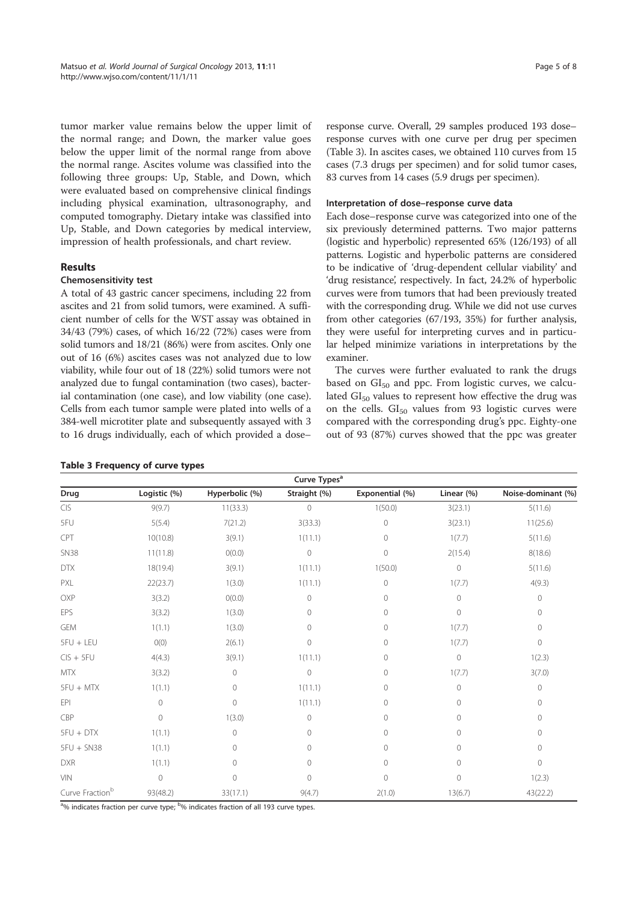tumor marker value remains below the upper limit of the normal range; and Down, the marker value goes below the upper limit of the normal range from above the normal range. Ascites volume was classified into the following three groups: Up, Stable, and Down, which were evaluated based on comprehensive clinical findings including physical examination, ultrasonography, and computed tomography. Dietary intake was classified into Up, Stable, and Down categories by medical interview, impression of health professionals, and chart review.

## **Results**

## Chemosensitivity test

A total of 43 gastric cancer specimens, including 22 from ascites and 21 from solid tumors, were examined. A sufficient number of cells for the WST assay was obtained in 34/43 (79%) cases, of which 16/22 (72%) cases were from solid tumors and 18/21 (86%) were from ascites. Only one out of 16 (6%) ascites cases was not analyzed due to low viability, while four out of 18 (22%) solid tumors were not analyzed due to fungal contamination (two cases), bacterial contamination (one case), and low viability (one case). Cells from each tumor sample were plated into wells of a 384-well microtiter plate and subsequently assayed with 3 to 16 drugs individually, each of which provided a dose–

response curve. Overall, 29 samples produced 193 dose– response curves with one curve per drug per specimen (Table 3). In ascites cases, we obtained 110 curves from 15 cases (7.3 drugs per specimen) and for solid tumor cases, 83 curves from 14 cases (5.9 drugs per specimen).

## Interpretation of dose–response curve data

Each dose–response curve was categorized into one of the six previously determined patterns. Two major patterns (logistic and hyperbolic) represented 65% (126/193) of all patterns. Logistic and hyperbolic patterns are considered to be indicative of 'drug-dependent cellular viability' and 'drug resistance', respectively. In fact, 24.2% of hyperbolic curves were from tumors that had been previously treated with the corresponding drug. While we did not use curves from other categories (67/193, 35%) for further analysis, they were useful for interpreting curves and in particular helped minimize variations in interpretations by the examiner.

The curves were further evaluated to rank the drugs based on  $GI_{50}$  and ppc. From logistic curves, we calculated  $GI<sub>50</sub>$  values to represent how effective the drug was on the cells.  $GI_{50}$  values from 93 logistic curves were compared with the corresponding drug's ppc. Eighty-one out of 93 (87%) curves showed that the ppc was greater

| Curve Types <sup>a</sup>         |              |                |                |                 |              |                    |
|----------------------------------|--------------|----------------|----------------|-----------------|--------------|--------------------|
| Drug                             | Logistic (%) | Hyperbolic (%) | Straight (%)   | Exponential (%) | Linear (%)   | Noise-dominant (%) |
| $\mathsf{C}\mathsf{I}\mathsf{S}$ | 9(9.7)       | 11(33.3)       | 0              | 1(50.0)         | 3(23.1)      | 5(11.6)            |
| 5FU                              | 5(5.4)       | 7(21.2)        | 3(33.3)        | $\mathbf{0}$    | 3(23.1)      | 11(25.6)           |
| CPT                              | 10(10.8)     | 3(9.1)         | 1(11.1)        | 0               | 1(7.7)       | 5(11.6)            |
| <b>SN38</b>                      | 11(11.8)     | O(0.0)         | $\circledcirc$ | $\circ$         | 2(15.4)      | 8(18.6)            |
| <b>DTX</b>                       | 18(19.4)     | 3(9.1)         | 1(11.1)        | 1(50.0)         | $\mathbf 0$  | 5(11.6)            |
| PXL                              | 22(23.7)     | 1(3.0)         | 1(11.1)        | $\circ$         | 1(7.7)       | 4(9.3)             |
| OXP                              | 3(3.2)       | O(0.0)         | 0              | 0               | $\mathbf{0}$ | $\circ$            |
| EPS                              | 3(3.2)       | 1(3.0)         | 0              | 0               | 0            | $\circ$            |
| <b>GEM</b>                       | 1(1.1)       | 1(3.0)         | 0              | $\Omega$        | 1(7.7)       | $\circ$            |
| 5FU + LEU                        | 0(0)         | 2(6.1)         | 0              | 0               | 1(7.7)       | $\circ$            |
| $CIS + 5FU$                      | 4(4.3)       | 3(9.1)         | 1(11.1)        | 0               | $\circ$      | 1(2.3)             |
| <b>MTX</b>                       | 3(3.2)       | $\mathbf 0$    | $\circ$        | 0               | 1(7.7)       | 3(7.0)             |
| 5FU + MTX                        | 1(1.1)       | $\mathbf 0$    | 1(11.1)        | 0               | $\mathbf 0$  | $\mathbf 0$        |
| EPI                              | $\mathbf 0$  | $\mathbf 0$    | 1(11.1)        | 0               | 0            | $\circ$            |
| CBP                              | $\circ$      | 1(3.0)         | 0              | 0               | 0            | $\circ$            |
| $5FU + DTX$                      | 1(1.1)       | $\mathbf 0$    | 0              | 0               | 0            | $\circ$            |
| 5FU + SN38                       | 1(1.1)       | $\circ$        | 0              | 0               | 0            | $\circ$            |
| <b>DXR</b>                       | 1(1.1)       | $\circ$        | 0              | $\circ$         | $\circ$      | $\mathbf 0$        |
| <b>VIN</b>                       | $\circ$      | $\mathbf 0$    | 0              | $\mathbf{0}$    | 0            | 1(2.3)             |
| Curve Fraction <sup>b</sup>      | 93(48.2)     | 33(17.1)       | 9(4.7)         | 2(1.0)          | 13(6.7)      | 43(22.2)           |

<sup>a</sup>% indicates fraction per curve type; <sup>b</sup>% indicates fraction of all 193 curve types.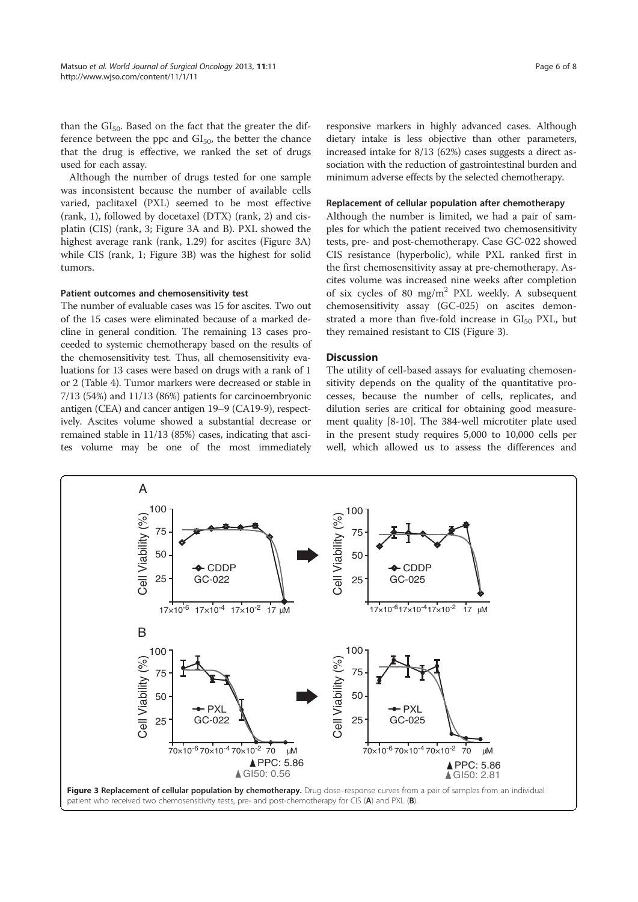than the  $GI<sub>50</sub>$ . Based on the fact that the greater the difference between the ppc and  $GI<sub>50</sub>$ , the better the chance that the drug is effective, we ranked the set of drugs used for each assay.

Although the number of drugs tested for one sample was inconsistent because the number of available cells varied, paclitaxel (PXL) seemed to be most effective (rank, 1), followed by docetaxel (DTX) (rank, 2) and cisplatin (CIS) (rank, 3; Figure 3A and B). PXL showed the highest average rank (rank, 1.29) for ascites (Figure 3A) while CIS (rank, 1; Figure 3B) was the highest for solid tumors.

#### Patient outcomes and chemosensitivity test

The number of evaluable cases was 15 for ascites. Two out of the 15 cases were eliminated because of a marked decline in general condition. The remaining 13 cases proceeded to systemic chemotherapy based on the results of the chemosensitivity test. Thus, all chemosensitivity evaluations for 13 cases were based on drugs with a rank of 1 or 2 (Table 4). Tumor markers were decreased or stable in 7/13 (54%) and 11/13 (86%) patients for carcinoembryonic antigen (CEA) and cancer antigen 19–9 (CA19-9), respectively. Ascites volume showed a substantial decrease or remained stable in 11/13 (85%) cases, indicating that ascites volume may be one of the most immediately responsive markers in highly advanced cases. Although dietary intake is less objective than other parameters, increased intake for 8/13 (62%) cases suggests a direct association with the reduction of gastrointestinal burden and minimum adverse effects by the selected chemotherapy.

#### Replacement of cellular population after chemotherapy

Although the number is limited, we had a pair of samples for which the patient received two chemosensitivity tests, pre- and post-chemotherapy. Case GC-022 showed CIS resistance (hyperbolic), while PXL ranked first in the first chemosensitivity assay at pre-chemotherapy. Ascites volume was increased nine weeks after completion of six cycles of 80 mg/ $m^2$  PXL weekly. A subsequent chemosensitivity assay (GC-025) on ascites demonstrated a more than five-fold increase in  $GI<sub>50</sub>$  PXL, but they remained resistant to CIS (Figure 3).

## **Discussion**

The utility of cell-based assays for evaluating chemosensitivity depends on the quality of the quantitative processes, because the number of cells, replicates, and dilution series are critical for obtaining good measurement quality [8-10]. The 384-well microtiter plate used in the present study requires 5,000 to 10,000 cells per well, which allowed us to assess the differences and

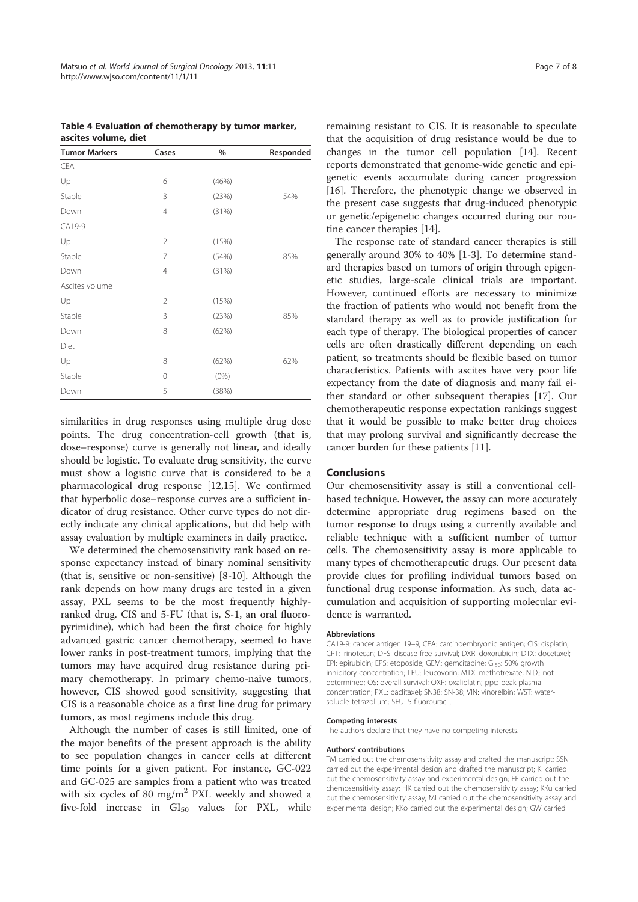| Table 4 Evaluation of chemotherapy by tumor marker, |  |
|-----------------------------------------------------|--|
| ascites volume, diet                                |  |

| <b>Tumor Markers</b> | Cases          | $\%$    | Responded |
|----------------------|----------------|---------|-----------|
| <b>CEA</b>           |                |         |           |
| Up                   | 6              | (46%)   |           |
| Stable               | 3              | (23%)   | 54%       |
| Down                 | $\overline{4}$ | (31%)   |           |
| CA19-9               |                |         |           |
| Up                   | 2              | (15%)   |           |
| Stable               | $\overline{7}$ | (54%)   | 85%       |
| Down                 | 4              | (31%)   |           |
| Ascites volume       |                |         |           |
| Up                   | $\overline{2}$ | (15%)   |           |
| Stable               | 3              | (23%)   | 85%       |
| Down                 | 8              | (62%)   |           |
| Diet                 |                |         |           |
| Up                   | 8              | (62%)   | 62%       |
| Stable               | 0              | $(0\%)$ |           |
| Down                 | 5              | (38%)   |           |

similarities in drug responses using multiple drug dose points. The drug concentration-cell growth (that is, dose–response) curve is generally not linear, and ideally should be logistic. To evaluate drug sensitivity, the curve must show a logistic curve that is considered to be a pharmacological drug response [12,15]. We confirmed that hyperbolic dose–response curves are a sufficient indicator of drug resistance. Other curve types do not directly indicate any clinical applications, but did help with assay evaluation by multiple examiners in daily practice.

We determined the chemosensitivity rank based on response expectancy instead of binary nominal sensitivity (that is, sensitive or non-sensitive) [8-10]. Although the rank depends on how many drugs are tested in a given assay, PXL seems to be the most frequently highlyranked drug. CIS and 5-FU (that is, S-1, an oral fluoropyrimidine), which had been the first choice for highly advanced gastric cancer chemotherapy, seemed to have lower ranks in post-treatment tumors, implying that the tumors may have acquired drug resistance during primary chemotherapy. In primary chemo-naive tumors, however, CIS showed good sensitivity, suggesting that CIS is a reasonable choice as a first line drug for primary tumors, as most regimens include this drug.

Although the number of cases is still limited, one of the major benefits of the present approach is the ability to see population changes in cancer cells at different time points for a given patient. For instance, GC-022 and GC-025 are samples from a patient who was treated with six cycles of 80 mg/m<sup>2</sup> PXL weekly and showed a five-fold increase in  $GI_{50}$  values for PXL, while

remaining resistant to CIS. It is reasonable to speculate that the acquisition of drug resistance would be due to changes in the tumor cell population [14]. Recent reports demonstrated that genome-wide genetic and epigenetic events accumulate during cancer progression [16]. Therefore, the phenotypic change we observed in the present case suggests that drug-induced phenotypic or genetic/epigenetic changes occurred during our routine cancer therapies [14].

The response rate of standard cancer therapies is still generally around 30% to 40% [1-3]. To determine standard therapies based on tumors of origin through epigenetic studies, large-scale clinical trials are important. However, continued efforts are necessary to minimize the fraction of patients who would not benefit from the standard therapy as well as to provide justification for each type of therapy. The biological properties of cancer cells are often drastically different depending on each patient, so treatments should be flexible based on tumor characteristics. Patients with ascites have very poor life expectancy from the date of diagnosis and many fail either standard or other subsequent therapies [17]. Our chemotherapeutic response expectation rankings suggest that it would be possible to make better drug choices that may prolong survival and significantly decrease the cancer burden for these patients [11].

## Conclusions

Our chemosensitivity assay is still a conventional cellbased technique. However, the assay can more accurately determine appropriate drug regimens based on the tumor response to drugs using a currently available and reliable technique with a sufficient number of tumor cells. The chemosensitivity assay is more applicable to many types of chemotherapeutic drugs. Our present data provide clues for profiling individual tumors based on functional drug response information. As such, data accumulation and acquisition of supporting molecular evidence is warranted.

#### Abbreviations

CA19-9: cancer antigen 19–9; CEA: carcinoembryonic antigen; CIS: cisplatin; CPT: irinotecan; DFS: disease free survival; DXR: doxorubicin; DTX: docetaxel; EPI: epirubicin; EPS: etoposide; GEM: gemcitabine; GI<sub>50</sub>: 50% growth inhibitory concentration; LEU: leucovorin; MTX: methotrexate; N.D.: not determined; OS: overall survival; OXP: oxaliplatin; ppc: peak plasma concentration; PXL: paclitaxel; SN38: SN-38; VIN: vinorelbin; WST: watersoluble tetrazolium; 5FU: 5-fluorouracil.

#### Competing interests

The authors declare that they have no competing interests.

#### Authors' contributions

TM carried out the chemosensitivity assay and drafted the manuscript; SSN carried out the experimental design and drafted the manuscript; KI carried out the chemosensitivity assay and experimental design; FE carried out the chemosensitivity assay; HK carried out the chemosensitivity assay; KKu carried out the chemosensitivity assay; MI carried out the chemosensitivity assay and experimental design; KKo carried out the experimental design; GW carried